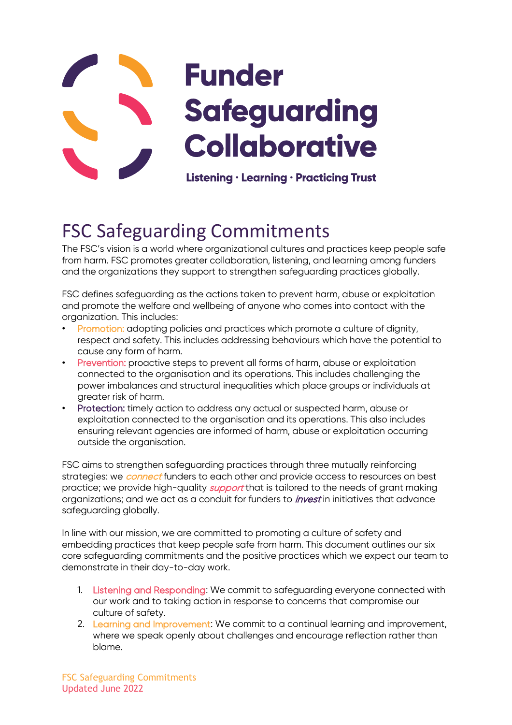

# FSC Safeguarding Commitments

The FSC's vision is a world where organizational cultures and practices keep people safe from harm. FSC promotes greater collaboration, listening, and learning among funders and the organizations they support to strengthen safeguarding practices globally.

FSC defines safeguarding as the actions taken to prevent harm, abuse or exploitation and promote the welfare and wellbeing of anyone who comes into contact with the organization. This includes:

- Promotion: adopting policies and practices which promote a culture of dignity, respect and safety. This includes addressing behaviours which have the potential to cause any form of harm.
- Prevention: proactive steps to prevent all forms of harm, abuse or exploitation connected to the organisation and its operations. This includes challenging the power imbalances and structural inequalities which place groups or individuals at greater risk of harm.
- Protection: timely action to address any actual or suspected harm, abuse or exploitation connected to the organisation and its operations. This also includes ensuring relevant agencies are informed of harm, abuse or exploitation occurring outside the organisation.

FSC aims to strengthen safeguarding practices through three mutually reinforcing strategies: we *connect* funders to each other and provide access to resources on best practice; we provide high-quality *support* that is tailored to the needs of grant making organizations; and we act as a conduit for funders to *invest* in initiatives that advance safeguarding globally.

In line with our mission, we are committed to promoting a culture of safety and embedding practices that keep people safe from harm. This document outlines our six core safeguarding commitments and the positive practices which we expect our team to demonstrate in their day-to-day work.

- 1. Listening and Responding: We commit to safeguarding everyone connected with our work and to taking action in response to concerns that compromise our culture of safety.
- 2. Learning and Improvement: We commit to a continual learning and improvement, where we speak openly about challenges and encourage reflection rather than blame.

FSC Safeguarding Commitments Updated June 2022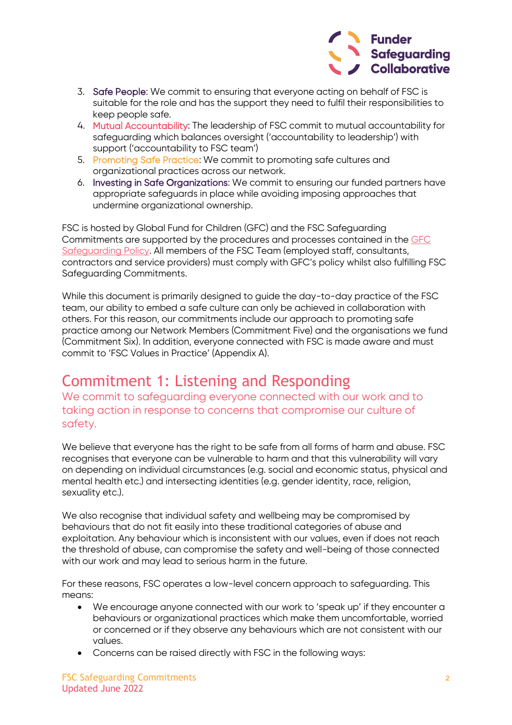

- 3. Safe People: We commit to ensuring that everyone acting on behalf of FSC is suitable for the role and has the support they need to fulfil their responsibilities to keep people safe.
- 4. Mutual Accountability: The leadership of FSC commit to mutual accountability for safeguarding which balances oversight ('accountability to leadership') with support ('accountability to FSC team')
- 5. Promoting Safe Practice: We commit to promoting safe cultures and organizational practices across our network.
- 6. Investing in Safe Organizations: We commit to ensuring our funded partners have appropriate safeguards in place while avoiding imposing approaches that undermine organizational ownership.

FSC is hosted by Global Fund for Children (GFC) and the FSC Safeguarding Commitments are supported by the procedures and processes contained in the [GFC](https://globalfundforchildren.org/safeguarding-policy/)  [Safeguarding Policy.](https://globalfundforchildren.org/safeguarding-policy/) All members of the FSC Team (employed staff, consultants, contractors and service providers) must comply with GFC's policy whilst also fulfilling FSC Safeguarding Commitments.

While this document is primarily designed to guide the day-to-day practice of the FSC team, our ability to embed a safe culture can only be achieved in collaboration with others. For this reason, our commitments include our approach to promoting safe practice among our Network Members (Commitment Five) and the organisations we fund (Commitment Six). In addition, everyone connected with FSC is made aware and must commit to 'FSC Values in Practice' (Appendix A).

### Commitment 1: Listening and Responding

We commit to safeguarding everyone connected with our work and to taking action in response to concerns that compromise our culture of safety.

We believe that everyone has the right to be safe from all forms of harm and abuse. FSC recognises that everyone can be vulnerable to harm and that this vulnerability will vary on depending on individual circumstances (e.g. social and economic status, physical and mental health etc.) and intersecting identities (e.g. gender identity, race, religion, sexuality etc.).

We also recognise that individual safety and wellbeing may be compromised by behaviours that do not fit easily into these traditional categories of abuse and exploitation. Any behaviour which is inconsistent with our values, even if does not reach the threshold of abuse, can compromise the safety and well-being of those connected with our work and may lead to serious harm in the future.

For these reasons, FSC operates a low-level concern approach to safeguarding. This means:

- We encourage anyone connected with our work to 'speak up' if they encounter a behaviours or organizational practices which make them uncomfortable, worried or concerned or if they observe any behaviours which are not consistent with our values.
- Concerns can be raised directly with FSC in the following ways: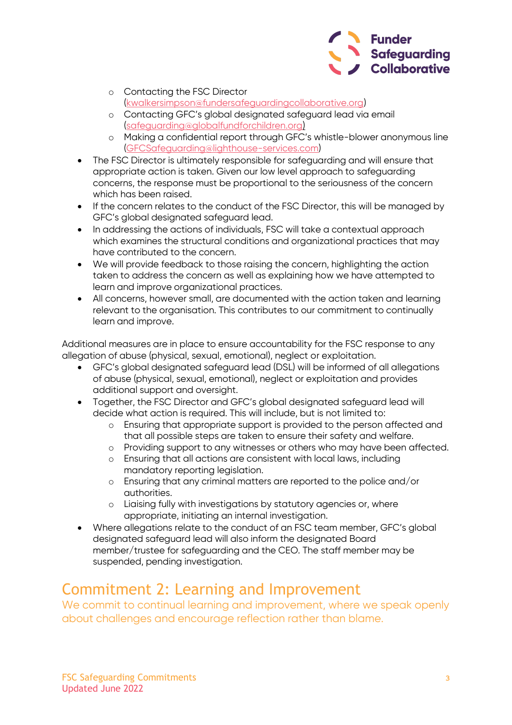

- o Contacting the FSC Director [\(kwalkersimpson@fundersafeguardingcollaborative.org\)](mailto:kwalkersimpson@fundersafeguardingcollaborative.org)
- o Contacting GFC's global designated safeguard lead via email [\(safeguarding@globalfundforchildren.org\)](mailto:safeguarding@globalfundforchildren.org)
- o Making a confidential report through GFC's whistle-blower anonymous line [\(GFCSafeguarding@lighthouse-services.com\)](mailto:GFCSafeguarding@lighthouse-services.com)
- The FSC Director is ultimately responsible for safeguarding and will ensure that appropriate action is taken. Given our low level approach to safeguarding concerns, the response must be proportional to the seriousness of the concern which has been raised.
- If the concern relates to the conduct of the FSC Director, this will be managed by GFC's global designated safeguard lead.
- In addressing the actions of individuals, FSC will take a contextual approach which examines the structural conditions and organizational practices that may have contributed to the concern.
- We will provide feedback to those raising the concern, highlighting the action taken to address the concern as well as explaining how we have attempted to learn and improve organizational practices.
- All concerns, however small, are documented with the action taken and learning relevant to the organisation. This contributes to our commitment to continually learn and improve.

Additional measures are in place to ensure accountability for the FSC response to any allegation of abuse (physical, sexual, emotional), neglect or exploitation.

- GFC's global designated safeguard lead (DSL) will be informed of all allegations of abuse (physical, sexual, emotional), neglect or exploitation and provides additional support and oversight.
- Together, the FSC Director and GFC's global designated safeguard lead will decide what action is required. This will include, but is not limited to:
	- o Ensuring that appropriate support is provided to the person affected and that all possible steps are taken to ensure their safety and welfare.
	- o Providing support to any witnesses or others who may have been affected.
	- o Ensuring that all actions are consistent with local laws, including mandatory reporting legislation.
	- o Ensuring that any criminal matters are reported to the police and/or authorities.
	- o Liaising fully with investigations by statutory agencies or, where appropriate, initiating an internal investigation.
- Where allegations relate to the conduct of an FSC team member, GFC's global designated safeguard lead will also inform the designated Board member/trustee for safeguarding and the CEO. The staff member may be suspended, pending investigation.

### Commitment 2: Learning and Improvement

We commit to continual learning and improvement, where we speak openly about challenges and encourage reflection rather than blame.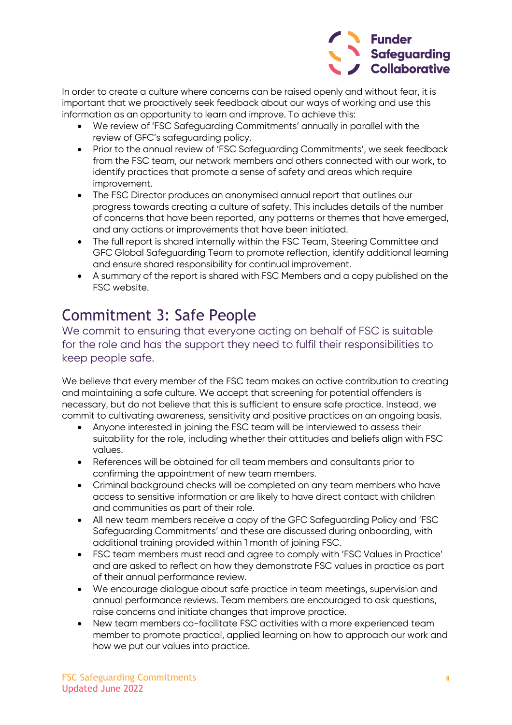

In order to create a culture where concerns can be raised openly and without fear, it is important that we proactively seek feedback about our ways of working and use this information as an opportunity to learn and improve. To achieve this:

- We review of 'FSC Safeguarding Commitments' annually in parallel with the review of GFC's safeguarding policy.
- Prior to the annual review of 'FSC Safeguarding Commitments', we seek feedback from the FSC team, our network members and others connected with our work, to identify practices that promote a sense of safety and areas which require improvement.
- The FSC Director produces an anonymised annual report that outlines our progress towards creating a culture of safety. This includes details of the number of concerns that have been reported, any patterns or themes that have emerged, and any actions or improvements that have been initiated.
- The full report is shared internally within the FSC Team, Steering Committee and GFC Global Safeguarding Team to promote reflection, identify additional learning and ensure shared responsibility for continual improvement.
- A summary of the report is shared with FSC Members and a copy published on the FSC website.

### Commitment 3: Safe People

We commit to ensuring that everyone acting on behalf of FSC is suitable for the role and has the support they need to fulfil their responsibilities to keep people safe.

We believe that every member of the FSC team makes an active contribution to creating and maintaining a safe culture. We accept that screening for potential offenders is necessary, but do not believe that this is sufficient to ensure safe practice. Instead, we commit to cultivating awareness, sensitivity and positive practices on an ongoing basis.

- Anyone interested in joining the FSC team will be interviewed to assess their suitability for the role, including whether their attitudes and beliefs align with FSC values.
- References will be obtained for all team members and consultants prior to confirming the appointment of new team members.
- Criminal background checks will be completed on any team members who have access to sensitive information or are likely to have direct contact with children and communities as part of their role.
- All new team members receive a copy of the GFC Safeguarding Policy and 'FSC Safeguarding Commitments' and these are discussed during onboarding, with additional training provided within 1 month of joining FSC.
- FSC team members must read and agree to comply with 'FSC Values in Practice' and are asked to reflect on how they demonstrate FSC values in practice as part of their annual performance review.
- We encourage dialogue about safe practice in team meetings, supervision and annual performance reviews. Team members are encouraged to ask questions, raise concerns and initiate changes that improve practice.
- New team members co-facilitate FSC activities with a more experienced team member to promote practical, applied learning on how to approach our work and how we put our values into practice.

FSC Safeguarding Commitments **4** Updated June 2022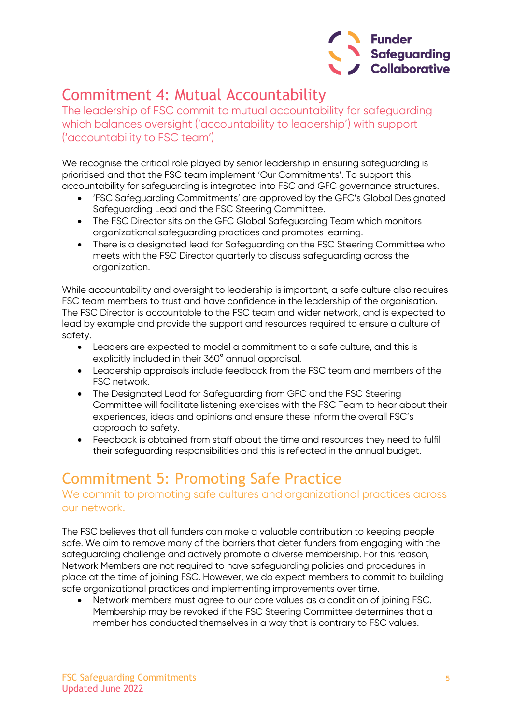

### Commitment 4: Mutual Accountability

The leadership of FSC commit to mutual accountability for safeguarding which balances oversight ('accountability to leadership') with support ('accountability to FSC team')

We recognise the critical role played by senior leadership in ensuring safeguarding is prioritised and that the FSC team implement 'Our Commitments'. To support this, accountability for safeguarding is integrated into FSC and GFC governance structures.

- 'FSC Safeguarding Commitments' are approved by the GFC's Global Designated Safeguarding Lead and the FSC Steering Committee.
- The FSC Director sits on the GFC Global Safeguarding Team which monitors organizational safeguarding practices and promotes learning.
- There is a designated lead for Safeguarding on the FSC Steering Committee who meets with the FSC Director quarterly to discuss safeguarding across the organization.

While accountability and oversight to leadership is important, a safe culture also requires FSC team members to trust and have confidence in the leadership of the organisation. The FSC Director is accountable to the FSC team and wider network, and is expected to lead by example and provide the support and resources required to ensure a culture of safety.

- Leaders are expected to model a commitment to a safe culture, and this is explicitly included in their 360° annual appraisal.
- Leadership appraisals include feedback from the FSC team and members of the FSC network.
- The Designated Lead for Safeguarding from GFC and the FSC Steering Committee will facilitate listening exercises with the FSC Team to hear about their experiences, ideas and opinions and ensure these inform the overall FSC's approach to safety.
- Feedback is obtained from staff about the time and resources they need to fulfil their safeguarding responsibilities and this is reflected in the annual budget.

### Commitment 5: Promoting Safe Practice

#### We commit to promoting safe cultures and organizational practices across our network.

The FSC believes that all funders can make a valuable contribution to keeping people safe. We aim to remove many of the barriers that deter funders from engaging with the safeguarding challenge and actively promote a diverse membership. For this reason, Network Members are not required to have safeguarding policies and procedures in place at the time of joining FSC. However, we do expect members to commit to building safe organizational practices and implementing improvements over time.

• Network members must agree to our core values as a condition of joining FSC. Membership may be revoked if the FSC Steering Committee determines that a member has conducted themselves in a way that is contrary to FSC values.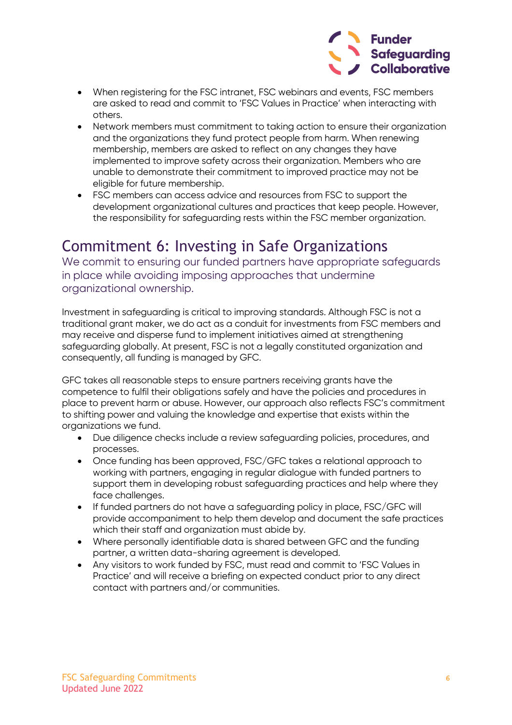

- When registering for the FSC intranet, FSC webinars and events, FSC members are asked to read and commit to 'FSC Values in Practice' when interacting with others.
- Network members must commitment to taking action to ensure their organization and the organizations they fund protect people from harm. When renewing membership, members are asked to reflect on any changes they have implemented to improve safety across their organization. Members who are unable to demonstrate their commitment to improved practice may not be eligible for future membership.
- FSC members can access advice and resources from FSC to support the development organizational cultures and practices that keep people. However, the responsibility for safeguarding rests within the FSC member organization.

### Commitment 6: Investing in Safe Organizations

We commit to ensuring our funded partners have appropriate safeguards in place while avoiding imposing approaches that undermine organizational ownership.

Investment in safeguarding is critical to improving standards. Although FSC is not a traditional grant maker, we do act as a conduit for investments from FSC members and may receive and disperse fund to implement initiatives aimed at strengthening safeguarding globally. At present, FSC is not a legally constituted organization and consequently, all funding is managed by GFC.

GFC takes all reasonable steps to ensure partners receiving grants have the competence to fulfil their obligations safely and have the policies and procedures in place to prevent harm or abuse. However, our approach also reflects FSC's commitment to shifting power and valuing the knowledge and expertise that exists within the organizations we fund.

- Due diligence checks include a review safeguarding policies, procedures, and processes.
- Once funding has been approved, FSC/GFC takes a relational approach to working with partners, engaging in regular dialogue with funded partners to support them in developing robust safeguarding practices and help where they face challenges.
- If funded partners do not have a safeguarding policy in place, FSC/GFC will provide accompaniment to help them develop and document the safe practices which their staff and organization must abide by.
- Where personally identifiable data is shared between GFC and the funding partner, a written data-sharing agreement is developed.
- Any visitors to work funded by FSC, must read and commit to 'FSC Values in Practice' and will receive a briefing on expected conduct prior to any direct contact with partners and/or communities.